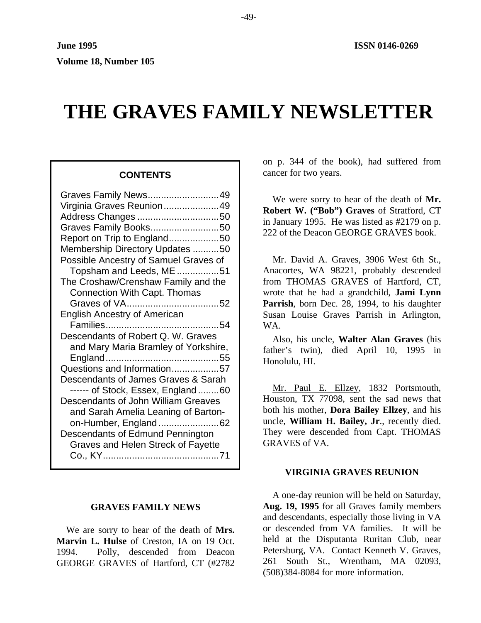# **THE GRAVES FAMILY NEWSLETTER**

#### **GRAVES FAMILY NEWS**

We are sorry to hear of the death of **Mrs. Marvin L. Hulse** of Creston, IA on 19 Oct. 1994. Polly, descended from Deacon GEORGE GRAVES of Hartford, CT (#2782

on p. 344 of the book), had suffered from **CONTENTS** cancer for two years.

> We were sorry to hear of the death of **Mr. Robert W. ("Bob") Graves** of Stratford, CT in January 1995. He was listed as #2179 on p. 222 of the Deacon GEORGE GRAVES book.

> Mr. David A. Graves, 3906 West 6th St., Anacortes, WA 98221, probably descended from THOMAS GRAVES of Hartford, CT, wrote that he had a grandchild, **Jami Lynn Parrish**, born Dec. 28, 1994, to his daughter Susan Louise Graves Parrish in Arlington, WA.

> Also, his uncle, **Walter Alan Graves** (his father's twin), died April 10, 1995 in Honolulu, HI.

> Mr. Paul E. Ellzey, 1832 Portsmouth, Houston, TX 77098, sent the sad news that both his mother, **Dora Bailey Ellzey**, and his uncle, **William H. Bailey, Jr**., recently died. They were descended from Capt. THOMAS GRAVES of VA.

#### **VIRGINIA GRAVES REUNION**

A one-day reunion will be held on Saturday, **Aug. 19, 1995** for all Graves family members and descendants, especially those living in VA or descended from VA families. It will be held at the Disputanta Ruritan Club, near Petersburg, VA. Contact Kenneth V. Graves, 261 South St., Wrentham, MA 02093, (508)384-8084 for more information.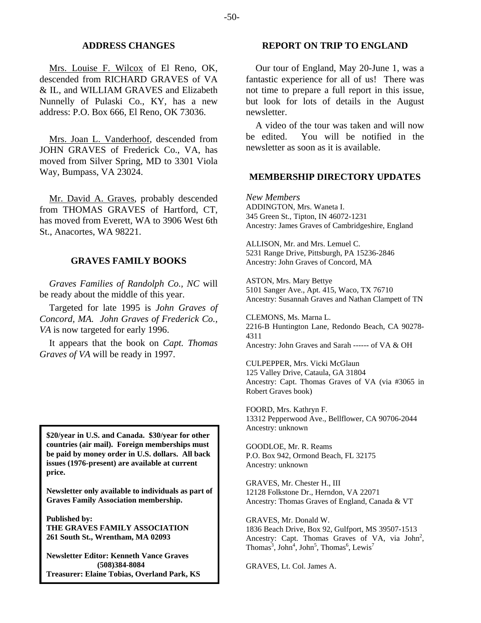#### **ADDRESS CHANGES**

Mrs. Louise F. Wilcox of El Reno, OK, descended from RICHARD GRAVES of VA & IL, and WILLIAM GRAVES and Elizabeth Nunnelly of Pulaski Co., KY, has a new address: P.O. Box 666, El Reno, OK 73036.

Mrs. Joan L. Vanderhoof, descended from JOHN GRAVES of Frederick Co., VA, has moved from Silver Spring, MD to 3301 Viola Way, Bumpass, VA 23024.

Mr. David A. Graves, probably descended from THOMAS GRAVES of Hartford, CT, has moved from Everett, WA to 3906 West 6th St., Anacortes, WA 98221.

#### **GRAVES FAMILY BOOKS**

*Graves Families of Randolph Co., NC* will be ready about the middle of this year.

Targeted for late 1995 is *John Graves of Concord, MA. John Graves of Frederick Co., VA* is now targeted for early 1996.

It appears that the book on *Capt. Thomas Graves of VA* will be ready in 1997.

Ancestry: unknown **\$20/year in U.S. and Canada. \$30/year for other countries (air mail). Foreign memberships must be paid by money order in U.S. dollars. All back issues (1976-present) are available at current price.** 

**Newsletter only available to individuals as part of Graves Family Association membership.** 

**Published by: THE GRAVES FAMILY ASSOCIATION 261 South St., Wrentham, MA 02093** 

**Newsletter Editor: Kenneth Vance Graves (508)384-8084 Treasurer: Elaine Tobias, Overland Park, KS**

## **REPORT ON TRIP TO ENGLAND**

Our tour of England, May 20-June 1, was a fantastic experience for all of us! There was not time to prepare a full report in this issue, but look for lots of details in the August newsletter.

A video of the tour was taken and will now be edited. You will be notified in the newsletter as soon as it is available.

#### **MEMBERSHIP DIRECTORY UPDATES**

*New Members*  ADDINGTON, Mrs. Waneta I. 345 Green St., Tipton, IN 46072-1231 Ancestry: James Graves of Cambridgeshire, England

ALLISON, Mr. and Mrs. Lemuel C. 5231 Range Drive, Pittsburgh, PA 15236-2846 Ancestry: John Graves of Concord, MA

ASTON, Mrs. Mary Bettye 5101 Sanger Ave., Apt. 415, Waco, TX 76710 Ancestry: Susannah Graves and Nathan Clampett of TN

CLEMONS, Ms. Marna L. 2216-B Huntington Lane, Redondo Beach, CA 90278- 4311 Ancestry: John Graves and Sarah ------ of VA & OH

CULPEPPER, Mrs. Vicki McGlaun 125 Valley Drive, Cataula, GA 31804 Ancestry: Capt. Thomas Graves of VA (via #3065 in Robert Graves book)

FOORD, Mrs. Kathryn F. 13312 Pepperwood Ave., Bellflower, CA 90706-2044

GOODLOE, Mr. R. Reams P.O. Box 942, Ormond Beach, FL 32175 Ancestry: unknown

GRAVES, Mr. Chester H., III 12128 Folkstone Dr., Herndon, VA 22071 Ancestry: Thomas Graves of England, Canada & VT

GRAVES, Mr. Donald W. 1836 Beach Drive, Box 92, Gulfport, MS 39507-1513 Ancestry: Capt. Thomas Graves of VA, via  $John<sup>2</sup>$ , Thomas<sup>3</sup>, John<sup>4</sup>, John<sup>5</sup>, Thomas<sup>6</sup>, Lewis<sup>7</sup>

GRAVES, Lt. Col. James A.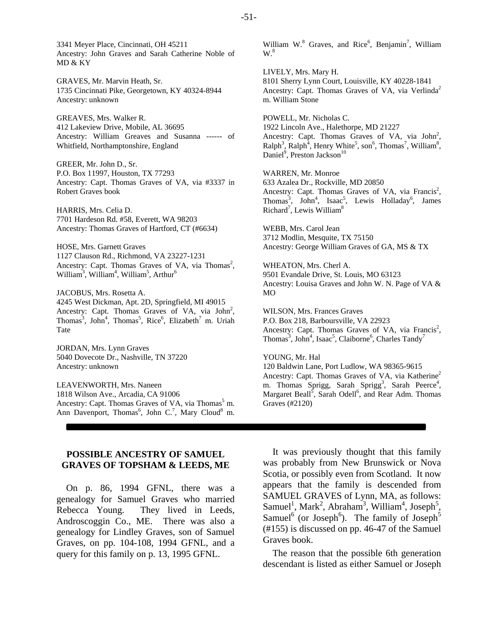3341 Meyer Place, Cincinnati, OH 45211 Ancestry: John Graves and Sarah Catherine Noble of MD & KY

GRAVES, Mr. Marvin Heath, Sr. 1735 Cincinnati Pike, Georgetown, KY 40324-8944 Ancestry: unknown

GREAVES, Mrs. Walker R. 412 Lakeview Drive, Mobile, AL 36695 Ancestry: William Greaves and Susanna ------ of Whitfield, Northamptonshire, England

GREER, Mr. John D., Sr. P.O. Box 11997, Houston, TX 77293 Ancestry: Capt. Thomas Graves of VA, via #3337 in Robert Graves book

HARRIS, Mrs. Celia D. 7701 Hardeson Rd. #58, Everett, WA 98203 Ancestry: Thomas Graves of Hartford, CT (#6634)

HOSE, Mrs. Garnett Graves 1127 Clauson Rd., Richmond, VA 23227-1231 Ancestry: Capt. Thomas Graves of VA, via Thomas<sup>2</sup>, William<sup>3</sup>, William<sup>4</sup>, William<sup>5</sup>, Arthur<sup>6</sup>

JACOBUS, Mrs. Rosetta A. 4245 West Dickman, Apt. 2D, Springfield, MI 49015 Ancestry: Capt. Thomas Graves of VA, via John<sup>2</sup>, Thomas<sup>3</sup>, John<sup>4</sup>, Thomas<sup>5</sup>, Rice<sup>6</sup>, Elizabeth<sup>7</sup> m. Uriah Tate

JORDAN, Mrs. Lynn Graves 5040 Dovecote Dr., Nashville, TN 37220 Ancestry: unknown

LEAVENWORTH, Mrs. Naneen 1818 Wilson Ave., Arcadia, CA 91006 Ancestry: Capt. Thomas Graves of VA, via Thomas<sup>5</sup> m. Ann Davenport, Thomas<sup>6</sup>, John C.<sup>7</sup>, Mary Cloud<sup>8</sup> m.

# **POSSIBLE ANCESTRY OF SAMUEL GRAVES OF TOPSHAM & LEEDS, ME**

On p. 86, 1994 GFNL, there was a genealogy for Samuel Graves who married Rebecca Young. They lived in Leeds, Androscoggin Co., ME. There was also a genealogy for Lindley Graves, son of Samuel Graves, on pp. 104-108, 1994 GFNL, and a query for this family on p. 13, 1995 GFNL.

William W. $8$  Graves, and Rice<sup>6</sup>, Benjamin<sup>7</sup>, William  $W<sup>8</sup>$ 

LIVELY, Mrs. Mary H. 8101 Sherry Lynn Court, Louisville, KY 40228-1841 Ancestry: Capt. Thomas Graves of VA, via Verlinda<sup>2</sup> m. William Stone

POWELL, Mr. Nicholas C. 1922 Lincoln Ave., Halethorpe, MD 21227 Ancestry: Capt. Thomas Graves of VA, via  $John<sup>2</sup>$ ,  $\text{Ralph}^3$ ,  $\text{Ralph}^4$ , Henry White<sup>5</sup>, son<sup>6</sup>, Thomas<sup>7</sup>, William<sup>8</sup>, Daniel<sup>9</sup>, Preston Jackson<sup>10</sup>

WARREN, Mr. Monroe 633 Azalea Dr., Rockville, MD 20850 Ancestry: Capt. Thomas Graves of VA, via Francis<sup>2</sup>, Thomas<sup>3</sup>, John<sup>4</sup>, Isaac<sup>5</sup>, Lewis Holladay<sup>6</sup>, James Richard<sup>7</sup>, Lewis William<sup>8</sup>

WEBB, Mrs. Carol Jean 3712 Modlin, Mesquite, TX 75150 Ancestry: George William Graves of GA, MS & TX

WHEATON, Mrs. Cherl A. 9501 Evandale Drive, St. Louis, MO 63123 Ancestry: Louisa Graves and John W. N. Page of VA & MO

WILSON, Mrs. Frances Graves P.O. Box 218, Barboursville, VA 22923 Ancestry: Capt. Thomas Graves of VA, via Francis<sup>2</sup>, Thomas<sup>3</sup>, John<sup>4</sup>, Isaac<sup>5</sup>, Claiborne<sup>6</sup>, Charles Tandy<sup>7</sup>

YOUNG, Mr. Hal

120 Baldwin Lane, Port Ludlow, WA 98365-9615 Ancestry: Capt. Thomas Graves of VA, via Katherine<sup>2</sup> m. Thomas Sprigg, Sarah Sprigg<sup>3</sup>, Sarah Peerce<sup>4</sup>, Margaret Beall<sup>5</sup>, Sarah Odell<sup>6</sup>, and Rear Adm. Thomas Graves (#2120)

It was previously thought that this family was probably from New Brunswick or Nova Scotia, or possibly even from Scotland. It now appears that the family is descended from SAMUEL GRAVES of Lynn, MA, as follows: Samuel<sup>1</sup>, Mark<sup>2</sup>, Abraham<sup>3</sup>, William<sup>4</sup>, Joseph<sup>5</sup>, Samuel<sup>6</sup> (or Joseph<sup>6</sup>). The family of Joseph<sup>5</sup> (#155) is discussed on pp. 46-47 of the Samuel Graves book.

The reason that the possible 6th generation descendant is listed as either Samuel or Joseph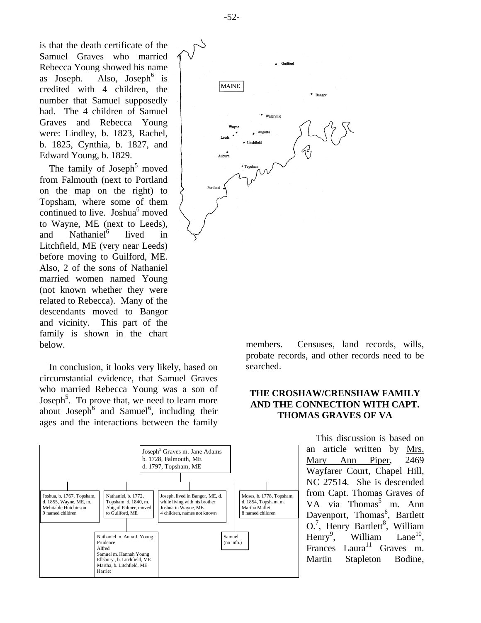-52-

is that the death certificate of the Samuel Graves who married Rebecca Young showed his name as Joseph. Also, Joseph<sup>6</sup> is credited with 4 children, the number that Samuel supposedly had. The 4 children of Samuel Graves and Rebecca Young were: Lindley, b. 1823, Rachel, b. 1825, Cynthia, b. 1827, and Edward Young, b. 1829.

The family of Joseph<sup>5</sup> moved from Falmouth (next to Portland on the map on the right) to Topsham, where some of them continued to live. Joshua<sup>6</sup> moved to Wayne, ME (next to Leeds), and Nathaniel<sup>6</sup> lived in Litchfield, ME (very near Leeds) before moving to Guilford, ME. Also, 2 of the sons of Nathaniel married women named Young (not known whether they were related to Rebecca). Many of the descendants moved to Bangor and vicinity. This part of the family is shown in the chart below.

In conclusion, it looks very likely, based on circumstantial evidence, that Samuel Graves who married Rebecca Young was a son of Joseph<sup>5</sup>. To prove that, we need to learn more about Joseph<sup>6</sup> and Samuel<sup>6</sup>, including their ages and the interactions between the family





members. Censuses, land records, wills, probate records, and other records need to be searched.

# **THE CROSHAW/CRENSHAW FAMILY AND THE CONNECTION WITH CAPT. THOMAS GRAVES OF VA**

This discussion is based on an article written by Mrs. Mary Ann Piper, 2469 Wayfarer Court, Chapel Hill, NC 27514. She is descended from Capt. Thomas Graves of VA via Thomas<sup>5</sup> m. Ann Davenport, Thomas<sup>6</sup>, Bartlett O.<sup>7</sup>, Henry Bartlett<sup>8</sup>, William Henry<sup>9</sup>. William Lane $10$ , Frances Laura<sup>11</sup> Graves m. Martin Stapleton Bodine,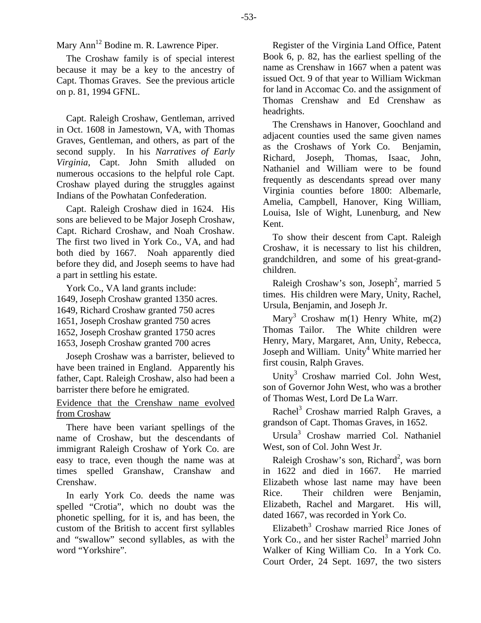Mary Ann<sup>12</sup> Bodine m. R. Lawrence Piper.

The Croshaw family is of special interest because it may be a key to the ancestry of Capt. Thomas Graves. See the previous article on p. 81, 1994 GFNL.

Capt. Raleigh Croshaw, Gentleman, arrived in Oct. 1608 in Jamestown, VA, with Thomas Graves, Gentleman, and others, as part of the second supply. In his *Narratives of Early Virginia*, Capt. John Smith alluded on numerous occasions to the helpful role Capt. Croshaw played during the struggles against Indians of the Powhatan Confederation.

Capt. Raleigh Croshaw died in 1624. His sons are believed to be Major Joseph Croshaw, Capt. Richard Croshaw, and Noah Croshaw. The first two lived in York Co., VA, and had both died by 1667. Noah apparently died before they did, and Joseph seems to have had a part in settling his estate.

York Co., VA land grants include: 1649, Joseph Croshaw granted 1350 acres. 1649, Richard Croshaw granted 750 acres 1651, Joseph Croshaw granted 750 acres 1652, Joseph Croshaw granted 1750 acres

1653, Joseph Croshaw granted 700 acres

Joseph Croshaw was a barrister, believed to have been trained in England. Apparently his father, Capt. Raleigh Croshaw, also had been a barrister there before he emigrated.

# Evidence that the Crenshaw name evolved from Croshaw

There have been variant spellings of the name of Croshaw, but the descendants of immigrant Raleigh Croshaw of York Co. are easy to trace, even though the name was at times spelled Granshaw, Cranshaw and Crenshaw.

In early York Co. deeds the name was spelled "Crotia", which no doubt was the phonetic spelling, for it is, and has been, the custom of the British to accent first syllables and "swallow" second syllables, as with the word "Yorkshire".

Register of the Virginia Land Office, Patent Book 6, p. 82, has the earliest spelling of the name as Crenshaw in 1667 when a patent was issued Oct. 9 of that year to William Wickman for land in Accomac Co. and the assignment of Thomas Crenshaw and Ed Crenshaw as headrights.

The Crenshaws in Hanover, Goochland and adjacent counties used the same given names as the Croshaws of York Co. Benjamin, Richard, Joseph, Thomas, Isaac, John, Nathaniel and William were to be found frequently as descendants spread over many Virginia counties before 1800: Albemarle, Amelia, Campbell, Hanover, King William, Louisa, Isle of Wight, Lunenburg, and New Kent.

To show their descent from Capt. Raleigh Croshaw, it is necessary to list his children, grandchildren, and some of his great-grandchildren.

Raleigh Croshaw's son, Joseph<sup>2</sup>, married 5 times. His children were Mary, Unity, Rachel, Ursula, Benjamin, and Joseph Jr.

Mary<sup>3</sup> Croshaw m(1) Henry White, m(2) Thomas Tailor. The White children were Henry, Mary, Margaret, Ann, Unity, Rebecca, Joseph and William. Unity<sup>4</sup> White married her first cousin, Ralph Graves.

Unity<sup>3</sup> Croshaw married Col. John West, son of Governor John West, who was a brother of Thomas West, Lord De La Warr.

Rachel<sup>3</sup> Croshaw married Ralph Graves, a grandson of Capt. Thomas Graves, in 1652.

Ursula<sup>3</sup> Croshaw married Col. Nathaniel West, son of Col. John West Jr.

Raleigh Croshaw's son, Richard<sup>2</sup>, was born in 1622 and died in 1667. He married Elizabeth whose last name may have been Rice. Their children were Benjamin, Elizabeth, Rachel and Margaret. His will, dated 1667, was recorded in York Co.

Elizabeth<sup>3</sup> Croshaw married Rice Jones of York Co., and her sister Rachel<sup>3</sup> married John Walker of King William Co. In a York Co. Court Order, 24 Sept. 1697, the two sisters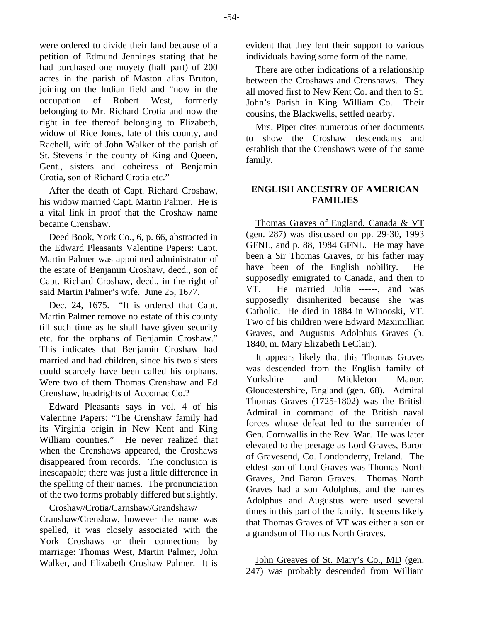were ordered to divide their land because of a petition of Edmund Jennings stating that he had purchased one moyety (half part) of 200 acres in the parish of Maston alias Bruton, joining on the Indian field and "now in the occupation of Robert West, formerly belonging to Mr. Richard Crotia and now the right in fee thereof belonging to Elizabeth, widow of Rice Jones, late of this county, and Rachell, wife of John Walker of the parish of St. Stevens in the county of King and Queen, Gent., sisters and coheiress of Benjamin Crotia, son of Richard Crotia etc."

After the death of Capt. Richard Croshaw, his widow married Capt. Martin Palmer. He is a vital link in proof that the Croshaw name became Crenshaw.

Deed Book, York Co., 6, p. 66, abstracted in the Edward Pleasants Valentine Papers: Capt. Martin Palmer was appointed administrator of the estate of Benjamin Croshaw, decd., son of Capt. Richard Croshaw, decd., in the right of said Martin Palmer's wife. June 25, 1677.

Dec. 24, 1675. "It is ordered that Capt. Martin Palmer remove no estate of this county till such time as he shall have given security etc. for the orphans of Benjamin Croshaw." This indicates that Benjamin Croshaw had married and had children, since his two sisters could scarcely have been called his orphans. Were two of them Thomas Crenshaw and Ed Crenshaw, headrights of Accomac Co.?

Edward Pleasants says in vol. 4 of his Valentine Papers: "The Crenshaw family had its Virginia origin in New Kent and King William counties." He never realized that when the Crenshaws appeared, the Croshaws disappeared from records. The conclusion is inescapable; there was just a little difference in the spelling of their names. The pronunciation of the two forms probably differed but slightly.

Croshaw/Crotia/Carnshaw/Grandshaw/ Cranshaw/Crenshaw, however the name was spelled, it was closely associated with the York Croshaws or their connections by marriage: Thomas West, Martin Palmer, John Walker, and Elizabeth Croshaw Palmer. It is

evident that they lent their support to various individuals having some form of the name.

There are other indications of a relationship between the Croshaws and Crenshaws. They all moved first to New Kent Co. and then to St. John's Parish in King William Co. Their cousins, the Blackwells, settled nearby.

Mrs. Piper cites numerous other documents to show the Croshaw descendants and establish that the Crenshaws were of the same family.

# **ENGLISH ANCESTRY OF AMERICAN FAMILIES**

Thomas Graves of England, Canada & VT (gen. 287) was discussed on pp. 29-30, 1993 GFNL, and p. 88, 1984 GFNL. He may have been a Sir Thomas Graves, or his father may have been of the English nobility. He supposedly emigrated to Canada, and then to VT. He married Julia ------, and was supposedly disinherited because she was Catholic. He died in 1884 in Winooski, VT. Two of his children were Edward Maximillian Graves, and Augustus Adolphus Graves (b. 1840, m. Mary Elizabeth LeClair).

It appears likely that this Thomas Graves was descended from the English family of Yorkshire and Mickleton Manor, Gloucestershire, England (gen. 68). Admiral Thomas Graves (1725-1802) was the British Admiral in command of the British naval forces whose defeat led to the surrender of Gen. Cornwallis in the Rev. War. He was later elevated to the peerage as Lord Graves, Baron of Gravesend, Co. Londonderry, Ireland. The eldest son of Lord Graves was Thomas North Graves, 2nd Baron Graves. Thomas North Graves had a son Adolphus, and the names Adolphus and Augustus were used several times in this part of the family. It seems likely that Thomas Graves of VT was either a son or a grandson of Thomas North Graves.

John Greaves of St. Mary's Co., MD (gen. 247) was probably descended from William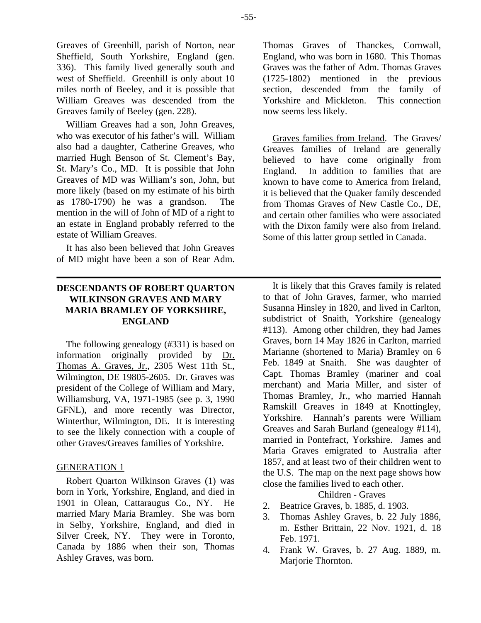William Greaves had a son, John Greaves, who was executor of his father's will. William also had a daughter, Catherine Greaves, who married Hugh Benson of St. Clement's Bay, St. Mary's Co., MD. It is possible that John Greaves of MD was William's son, John, but more likely (based on my estimate of his birth as 1780-1790) he was a grandson. The mention in the will of John of MD of a right to an estate in England probably referred to the estate of William Greaves.

It has also been believed that John Greaves of MD might have been a son of Rear Adm.

# **DESCENDANTS OF ROBERT QUARTON WILKINSON GRAVES AND MARY MARIA BRAMLEY OF YORKSHIRE, ENGLAND**

The following genealogy (#331) is based on information originally provided by Dr. Thomas A. Graves, Jr., 2305 West 11th St., Wilmington, DE 19805-2605. Dr. Graves was president of the College of William and Mary, Williamsburg, VA, 1971-1985 (see p. 3, 1990 GFNL), and more recently was Director, Winterthur, Wilmington, DE. It is interesting to see the likely connection with a couple of other Graves/Greaves families of Yorkshire.

# GENERATION 1

Robert Quarton Wilkinson Graves (1) was born in York, Yorkshire, England, and died in 1901 in Olean, Cattaraugus Co., NY. He married Mary Maria Bramley. She was born in Selby, Yorkshire, England, and died in Silver Creek, NY. They were in Toronto, Canada by 1886 when their son, Thomas Ashley Graves, was born.

Thomas Graves of Thanckes, Cornwall, England, who was born in 1680. This Thomas Graves was the father of Adm. Thomas Graves (1725-1802) mentioned in the previous section, descended from the family of Yorkshire and Mickleton. This connection now seems less likely.

Graves families from Ireland. The Graves/ Greaves families of Ireland are generally believed to have come originally from England. In addition to families that are known to have come to America from Ireland, it is believed that the Quaker family descended from Thomas Graves of New Castle Co., DE, and certain other families who were associated with the Dixon family were also from Ireland. Some of this latter group settled in Canada.

It is likely that this Graves family is related to that of John Graves, farmer, who married Susanna Hinsley in 1820, and lived in Carlton, subdistrict of Snaith, Yorkshire (genealogy #113). Among other children, they had James Graves, born 14 May 1826 in Carlton, married Marianne (shortened to Maria) Bramley on 6 Feb. 1849 at Snaith. She was daughter of Capt. Thomas Bramley (mariner and coal merchant) and Maria Miller, and sister of Thomas Bramley, Jr., who married Hannah Ramskill Greaves in 1849 at Knottingley, Yorkshire. Hannah's parents were William Greaves and Sarah Burland (genealogy #114), married in Pontefract, Yorkshire. James and Maria Graves emigrated to Australia after 1857, and at least two of their children went to the U.S. The map on the next page shows how close the families lived to each other.

Children - Graves

- 2. Beatrice Graves, b. 1885, d. 1903.
- 3. Thomas Ashley Graves, b. 22 July 1886, m. Esther Brittain, 22 Nov. 1921, d. 18 Feb. 1971.
- 4. Frank W. Graves, b. 27 Aug. 1889, m. Marjorie Thornton.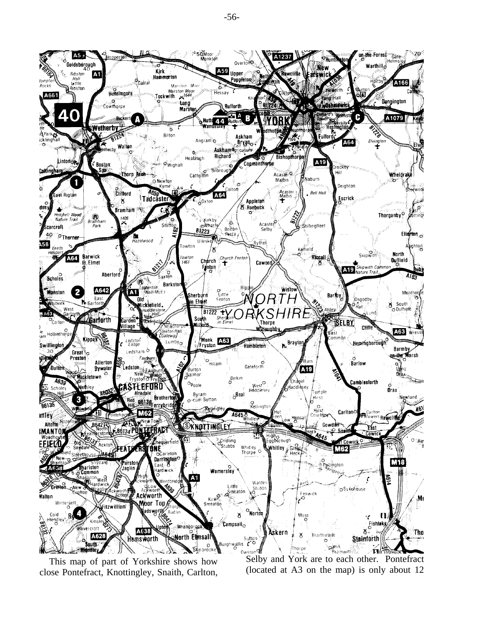

This map of part of Yorkshire shows how close Pontefract, Knottingley, Snaith, Carlton,

Selby and York are to each other. Pontefract (located at A3 on the map) is only about 12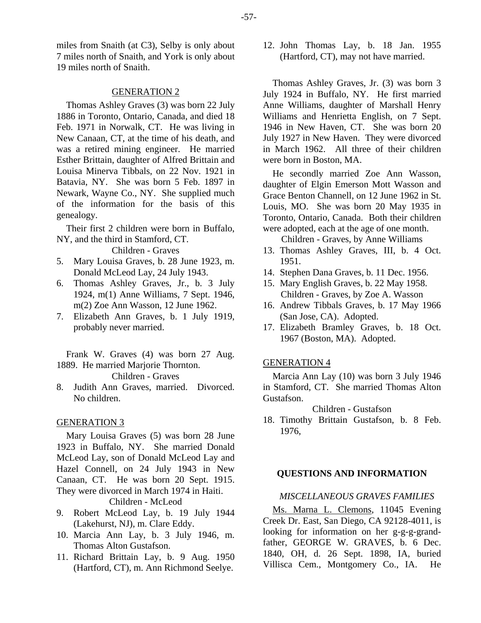miles from Snaith (at C3), Selby is only about 7 miles north of Snaith, and York is only about 19 miles north of Snaith.

#### GENERATION 2

Thomas Ashley Graves (3) was born 22 July 1886 in Toronto, Ontario, Canada, and died 18 Feb. 1971 in Norwalk, CT. He was living in New Canaan, CT, at the time of his death, and was a retired mining engineer. He married Esther Brittain, daughter of Alfred Brittain and Louisa Minerva Tibbals, on 22 Nov. 1921 in Batavia, NY. She was born 5 Feb. 1897 in Newark, Wayne Co., NY. She supplied much of the information for the basis of this genealogy.

Their first 2 children were born in Buffalo, NY, and the third in Stamford, CT.

Children - Graves

- 5. Mary Louisa Graves, b. 28 June 1923, m. Donald McLeod Lay, 24 July 1943.
- 6. Thomas Ashley Graves, Jr., b. 3 July 1924, m(1) Anne Williams, 7 Sept. 1946, m(2) Zoe Ann Wasson, 12 June 1962.
- 7. Elizabeth Ann Graves, b. 1 July 1919, probably never married.

Frank W. Graves (4) was born 27 Aug. 1889. He married Marjorie Thornton.

#### Children - Graves

8. Judith Ann Graves, married. Divorced. No children.

#### GENERATION 3

Mary Louisa Graves (5) was born 28 June 1923 in Buffalo, NY. She married Donald McLeod Lay, son of Donald McLeod Lay and Hazel Connell, on 24 July 1943 in New Canaan, CT. He was born 20 Sept. 1915. They were divorced in March 1974 in Haiti.

Children - McLeod

- 9. Robert McLeod Lay, b. 19 July 1944 (Lakehurst, NJ), m. Clare Eddy.
- 10. Marcia Ann Lay, b. 3 July 1946, m. Thomas Alton Gustafson.
- 11. Richard Brittain Lay, b. 9 Aug. 1950 (Hartford, CT), m. Ann Richmond Seelye.

12. John Thomas Lay, b. 18 Jan. 1955 (Hartford, CT), may not have married.

Thomas Ashley Graves, Jr. (3) was born 3 July 1924 in Buffalo, NY. He first married Anne Williams, daughter of Marshall Henry Williams and Henrietta English, on 7 Sept. 1946 in New Haven, CT. She was born 20 July 1927 in New Haven. They were divorced in March 1962. All three of their children were born in Boston, MA.

He secondly married Zoe Ann Wasson, daughter of Elgin Emerson Mott Wasson and Grace Benton Channell, on 12 June 1962 in St. Louis, MO. She was born 20 May 1935 in Toronto, Ontario, Canada. Both their children were adopted, each at the age of one month.

Children - Graves, by Anne Williams

- 13. Thomas Ashley Graves, III, b. 4 Oct. 1951.
- 14. Stephen Dana Graves, b. 11 Dec. 1956.
- 15. Mary English Graves, b. 22 May 1958. Children - Graves, by Zoe A. Wasson
- 16. Andrew Tibbals Graves, b. 17 May 1966 (San Jose, CA). Adopted.
- 17. Elizabeth Bramley Graves, b. 18 Oct. 1967 (Boston, MA). Adopted.

#### GENERATION 4

Marcia Ann Lay (10) was born 3 July 1946 in Stamford, CT. She married Thomas Alton Gustafson.

Children - Gustafson

18. Timothy Brittain Gustafson, b. 8 Feb. 1976,

#### **QUESTIONS AND INFORMATION**

#### *MISCELLANEOUS GRAVES FAMILIES*

Ms. Marna L. Clemons, 11045 Evening Creek Dr. East, San Diego, CA 92128-4011, is looking for information on her g-g-g-grandfather, GEORGE W. GRAVES, b. 6 Dec. 1840, OH, d. 26 Sept. 1898, IA, buried Villisca Cem., Montgomery Co., IA. He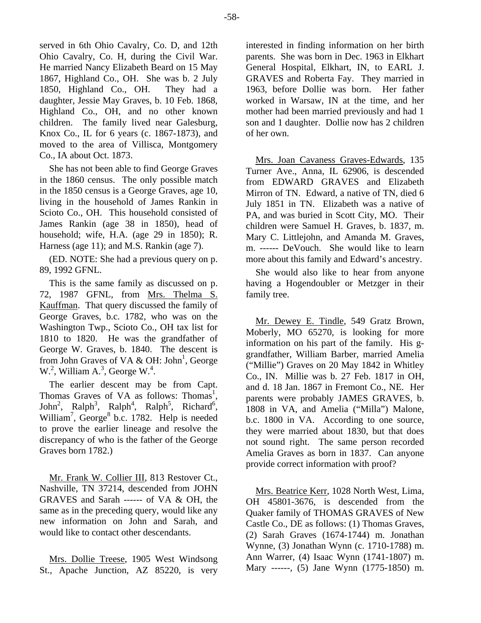served in 6th Ohio Cavalry, Co. D, and 12th Ohio Cavalry, Co. H, during the Civil War. He married Nancy Elizabeth Beard on 15 May 1867, Highland Co., OH. She was b. 2 July 1850, Highland Co., OH. They had a daughter, Jessie May Graves, b. 10 Feb. 1868, Highland Co., OH, and no other known children. The family lived near Galesburg, Knox Co., IL for 6 years (c. 1867-1873), and moved to the area of Villisca, Montgomery Co., IA about Oct. 1873.

She has not been able to find George Graves in the 1860 census. The only possible match in the 1850 census is a George Graves, age 10, living in the household of James Rankin in Scioto Co., OH. This household consisted of James Rankin (age 38 in 1850), head of household; wife, H.A. (age 29 in 1850); R. Harness (age 11); and M.S. Rankin (age 7).

(ED. NOTE: She had a previous query on p. 89, 1992 GFNL.

This is the same family as discussed on p. 72, 1987 GFNL, from Mrs. Thelma S. Kauffman. That query discussed the family of George Graves, b.c. 1782, who was on the Washington Twp., Scioto Co., OH tax list for 1810 to 1820. He was the grandfather of George W. Graves, b. 1840. The descent is from John Graves of VA & OH: John<sup>1</sup>, George  $W^2$ , William A.<sup>3</sup>, George W.<sup>4</sup>.

The earlier descent may be from Capt. Thomas Graves of VA as follows: Thomas<sup>1</sup>, John<sup>2</sup>, Ralph<sup>3</sup>, Ralph<sup>5</sup>, Richard<sup>6</sup>, William<sup>7</sup>, George<sup>8</sup> b.c. 1782. Help is needed to prove the earlier lineage and resolve the discrepancy of who is the father of the George Graves born 1782.)

Mr. Frank W. Collier III, 813 Restover Ct., Nashville, TN 37214, descended from JOHN GRAVES and Sarah ------ of VA & OH, the same as in the preceding query, would like any new information on John and Sarah, and would like to contact other descendants.

Mrs. Dollie Treese, 1905 West Windsong St., Apache Junction, AZ 85220, is very interested in finding information on her birth parents. She was born in Dec. 1963 in Elkhart General Hospital, Elkhart, IN, to EARL J. GRAVES and Roberta Fay. They married in 1963, before Dollie was born. Her father worked in Warsaw, IN at the time, and her mother had been married previously and had 1 son and 1 daughter. Dollie now has 2 children of her own.

Mrs. Joan Cavaness Graves-Edwards, 135 Turner Ave., Anna, IL 62906, is descended from EDWARD GRAVES and Elizabeth Mirron of TN. Edward, a native of TN, died 6 July 1851 in TN. Elizabeth was a native of PA, and was buried in Scott City, MO. Their children were Samuel H. Graves, b. 1837, m. Mary C. Littlejohn, and Amanda M. Graves, m. ------ DeVouch. She would like to learn more about this family and Edward's ancestry.

She would also like to hear from anyone having a Hogendoubler or Metzger in their family tree.

Mr. Dewey E. Tindle, 549 Gratz Brown, Moberly, MO 65270, is looking for more information on his part of the family. His ggrandfather, William Barber, married Amelia ("Millie") Graves on 20 May 1842 in Whitley Co., IN. Millie was b. 27 Feb. 1817 in OH, and d. 18 Jan. 1867 in Fremont Co., NE. Her parents were probably JAMES GRAVES, b. 1808 in VA, and Amelia ("Milla") Malone, b.c. 1800 in VA. According to one source, they were married about 1830, but that does not sound right. The same person recorded Amelia Graves as born in 1837. Can anyone provide correct information with proof?

Mrs. Beatrice Kerr, 1028 North West, Lima, OH 45801-3676, is descended from the Quaker family of THOMAS GRAVES of New Castle Co., DE as follows: (1) Thomas Graves, (2) Sarah Graves (1674-1744) m. Jonathan Wynne, (3) Jonathan Wynn (c. 1710-1788) m. Ann Warrer, (4) Isaac Wynn (1741-1807) m. Mary ------, (5) Jane Wynn (1775-1850) m.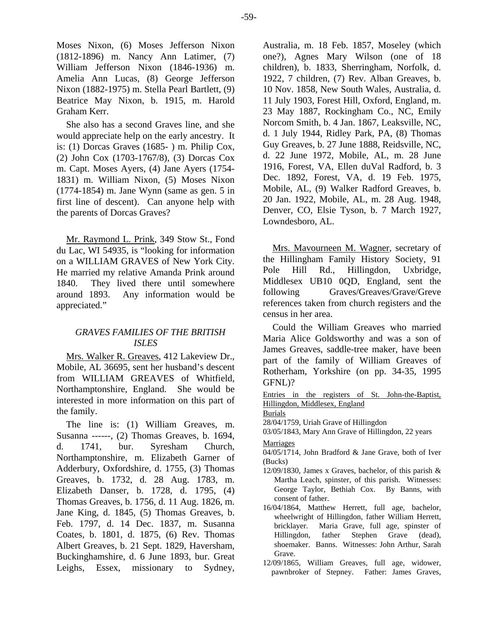Moses Nixon, (6) Moses Jefferson Nixon (1812-1896) m. Nancy Ann Latimer, (7) William Jefferson Nixon (1846-1936) m. Amelia Ann Lucas, (8) George Jefferson Nixon (1882-1975) m. Stella Pearl Bartlett, (9) Beatrice May Nixon, b. 1915, m. Harold Graham Kerr.

She also has a second Graves line, and she would appreciate help on the early ancestry. It is: (1) Dorcas Graves (1685- ) m. Philip Cox, (2) John Cox (1703-1767/8), (3) Dorcas Cox m. Capt. Moses Ayers, (4) Jane Ayers (1754- 1831) m. William Nixon, (5) Moses Nixon (1774-1854) m. Jane Wynn (same as gen. 5 in first line of descent). Can anyone help with the parents of Dorcas Graves?

Mr. Raymond L. Prink, 349 Stow St., Fond du Lac, WI 54935, is "looking for information on a WILLIAM GRAVES of New York City. He married my relative Amanda Prink around 1840. They lived there until somewhere around 1893. Any information would be appreciated."

# *GRAVES FAMILIES OF THE BRITISH ISLES*

Mrs. Walker R. Greaves, 412 Lakeview Dr., Mobile, AL 36695, sent her husband's descent from WILLIAM GREAVES of Whitfield, Northamptonshire, England. She would be interested in more information on this part of the family.

The line is: (1) William Greaves, m. Susanna ------, (2) Thomas Greaves, b. 1694, d. 1741, bur. Syresham Church, Northamptonshire, m. Elizabeth Garner of Adderbury, Oxfordshire, d. 1755, (3) Thomas Greaves, b. 1732, d. 28 Aug. 1783, m. Elizabeth Danser, b. 1728, d. 1795, (4) Thomas Greaves, b. 1756, d. 11 Aug. 1826, m. Jane King, d. 1845, (5) Thomas Greaves, b. Feb. 1797, d. 14 Dec. 1837, m. Susanna Coates, b. 1801, d. 1875, (6) Rev. Thomas Albert Greaves, b. 21 Sept. 1829, Haversham, Buckinghamshire, d. 6 June 1893, bur. Great Leighs, Essex, missionary to Sydney, Australia, m. 18 Feb. 1857, Moseley (which one?), Agnes Mary Wilson (one of 18 children), b. 1833, Sherringham, Norfolk, d. 1922, 7 children, (7) Rev. Alban Greaves, b. 10 Nov. 1858, New South Wales, Australia, d. 11 July 1903, Forest Hill, Oxford, England, m. 23 May 1887, Rockingham Co., NC, Emily Norcom Smith, b. 4 Jan. 1867, Leaksville, NC, d. 1 July 1944, Ridley Park, PA, (8) Thomas Guy Greaves, b. 27 June 1888, Reidsville, NC, d. 22 June 1972, Mobile, AL, m. 28 June 1916, Forest, VA, Ellen duVal Radford, b. 3 Dec. 1892, Forest, VA, d. 19 Feb. 1975, Mobile, AL, (9) Walker Radford Greaves, b. 20 Jan. 1922, Mobile, AL, m. 28 Aug. 1948, Denver, CO, Elsie Tyson, b. 7 March 1927, Lowndesboro, AL.

Mrs. Mavourneen M. Wagner, secretary of the Hillingham Family History Society, 91 Pole Hill Rd., Hillingdon, Uxbridge, Middlesex UB10 0QD, England, sent the following Graves/Greaves/Grave/Greve references taken from church registers and the census in her area.

Could the William Greaves who married Maria Alice Goldsworthy and was a son of James Greaves, saddle-tree maker, have been part of the family of William Greaves of Rotherham, Yorkshire (on pp. 34-35, 1995 GFNL)?

Entries in the registers of St. John-the-Baptist, Hillingdon, Middlesex, England

Burials

28/04/1759, Uriah Grave of Hillingdon

03/05/1843, Mary Ann Grave of Hillingdon, 22 years

Marriages

04/05/1714, John Bradford & Jane Grave, both of Iver (Bucks)

- 12/09/1830, James x Graves, bachelor, of this parish & Martha Leach, spinster, of this parish. Witnesses: George Taylor, Bethiah Cox. By Banns, with consent of father.
- 16/04/1864, Matthew Herrett, full age, bachelor, wheelwright of Hillingdon, father William Herrett, bricklayer. Maria Grave, full age, spinster of Hillingdon, father Stephen Grave (dead), shoemaker. Banns. Witnesses: John Arthur, Sarah Grave.
- 12/09/1865, William Greaves, full age, widower, pawnbroker of Stepney. Father: James Graves,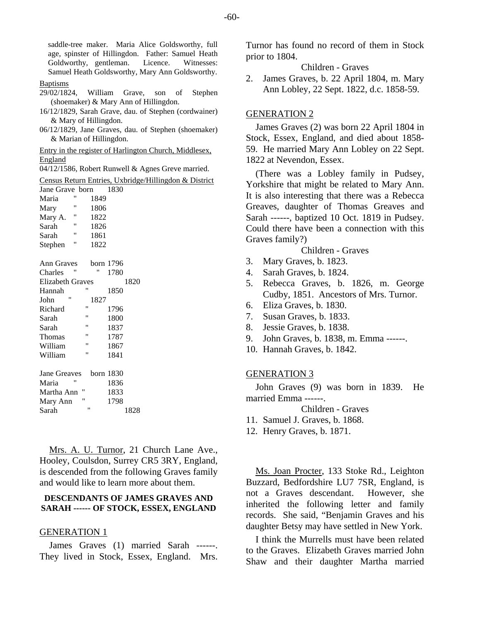saddle-tree maker. Maria Alice Goldsworthy, full age, spinster of Hillingdon. Father: Samuel Heath Goldworthy, gentleman. Licence. Witnesses: Samuel Heath Goldsworthy, Mary Ann Goldsworthy.

#### Baptisms

- 29/02/1824, William Grave, son of Stephen (shoemaker) & Mary Ann of Hillingdon.
- 16/12/1829, Sarah Grave, dau. of Stephen (cordwainer) & Mary of Hillingdon.
- 06/12/1829, Jane Graves, dau. of Stephen (shoemaker) & Marian of Hillingdon.

Entry in the register of Harlington Church, Middlesex, England

04/12/1586, Robert Runwell & Agnes Greve married.

Census Return Entries, Uxbridge/Hillingdon & District

| Jane Grave born         |    |           | 1830 |      |
|-------------------------|----|-----------|------|------|
| Maria                   | "  | 1849      |      |      |
| Mary                    | Ħ  | 1806      |      |      |
| Mary A.                 | "  | 1822      |      |      |
| Sarah                   | 11 | 1826      |      |      |
| Sarah                   | "  | 1861      |      |      |
| Stephen                 | Ħ  | 1822      |      |      |
| <b>Ann Graves</b>       |    | born 1796 |      |      |
| Charles                 | "  | "         | 1780 |      |
| <b>Elizabeth Graves</b> |    |           |      | 1820 |
| Hannah                  | Ħ  |           | 1850 |      |
| "<br>John               |    | 1827      |      |      |
| Richard                 | "  |           | 1796 |      |
| Sarah                   | Ħ  |           | 1800 |      |
| Sarah                   | Ħ  |           | 1837 |      |
| Thomas                  | 11 |           | 1787 |      |
| William                 | Ħ  |           | 1867 |      |
| William                 | Ħ  |           | 1841 |      |
| Jane Greaves            |    | born 1830 |      |      |
| Maria                   | "  |           | 1836 |      |
| Martha Ann              | "  |           | 1833 |      |
| Mary Ann                | Ħ  |           | 1798 |      |
| Sarah                   | "  |           |      | 1828 |

Mrs. A. U. Turnor, 21 Church Lane Ave., Hooley, Coulsdon, Surrey CR5 3RY, England, is descended from the following Graves family and would like to learn more about them.

#### **DESCENDANTS OF JAMES GRAVES AND SARAH ------ OF STOCK, ESSEX, ENGLAND**

#### GENERATION 1

James Graves (1) married Sarah ------. They lived in Stock, Essex, England. Mrs. Turnor has found no record of them in Stock prior to 1804.

Children - Graves

2. James Graves, b. 22 April 1804, m. Mary Ann Lobley, 22 Sept. 1822, d.c. 1858-59.

#### GENERATION 2

James Graves (2) was born 22 April 1804 in Stock, Essex, England, and died about 1858- 59. He married Mary Ann Lobley on 22 Sept. 1822 at Nevendon, Essex.

(There was a Lobley family in Pudsey, Yorkshire that might be related to Mary Ann. It is also interesting that there was a Rebecca Greaves, daughter of Thomas Greaves and Sarah ------, baptized 10 Oct. 1819 in Pudsey. Could there have been a connection with this Graves family?)

Children - Graves

- 3. Mary Graves, b. 1823.
- 4. Sarah Graves, b. 1824.
- 5. Rebecca Graves, b. 1826, m. George Cudby, 1851. Ancestors of Mrs. Turnor.
- 6. Eliza Graves, b. 1830.
- 7. Susan Graves, b. 1833.
- 8. Jessie Graves, b. 1838.
- 9. John Graves, b. 1838, m. Emma ------.
- 10. Hannah Graves, b. 1842.

#### GENERATION 3

John Graves (9) was born in 1839. He married Emma ------.

Children - Graves

- 11. Samuel J. Graves, b. 1868.
- 12. Henry Graves, b. 1871.

Ms. Joan Procter, 133 Stoke Rd., Leighton Buzzard, Bedfordshire LU7 7SR, England, is not a Graves descendant. However, she inherited the following letter and family records. She said, "Benjamin Graves and his daughter Betsy may have settled in New York.

I think the Murrells must have been related to the Graves. Elizabeth Graves married John Shaw and their daughter Martha married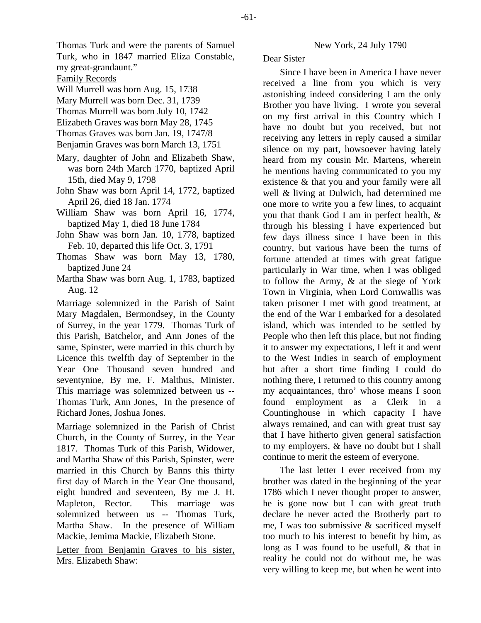Thomas Turk and were the parents of Samuel Turk, who in 1847 married Eliza Constable, my great-grandaunt."

- Family Records
- Will Murrell was born Aug. 15, 1738
- Mary Murrell was born Dec. 31, 1739
- Thomas Murrell was born July 10, 1742
- Elizabeth Graves was born May 28, 1745
- Thomas Graves was born Jan. 19, 1747/8
- Benjamin Graves was born March 13, 1751
- Mary, daughter of John and Elizabeth Shaw, was born 24th March 1770, baptized April 15th, died May 9, 1798
- John Shaw was born April 14, 1772, baptized April 26, died 18 Jan. 1774
- William Shaw was born April 16, 1774, baptized May 1, died 18 June 1784
- John Shaw was born Jan. 10, 1778, baptized Feb. 10, departed this life Oct. 3, 1791
- Thomas Shaw was born May 13, 1780, baptized June 24
- Martha Shaw was born Aug. 1, 1783, baptized Aug. 12

Marriage solemnized in the Parish of Saint Mary Magdalen, Bermondsey, in the County of Surrey, in the year 1779. Thomas Turk of this Parish, Batchelor, and Ann Jones of the same, Spinster, were married in this church by Licence this twelfth day of September in the Year One Thousand seven hundred and seventynine, By me, F. Malthus, Minister. This marriage was solemnized between us -- Thomas Turk, Ann Jones, In the presence of Richard Jones, Joshua Jones.

Marriage solemnized in the Parish of Christ Church, in the County of Surrey, in the Year 1817. Thomas Turk of this Parish, Widower, and Martha Shaw of this Parish, Spinster, were married in this Church by Banns this thirty first day of March in the Year One thousand, eight hundred and seventeen, By me J. H. Mapleton, Rector. This marriage was solemnized between us -- Thomas Turk, Martha Shaw. In the presence of William Mackie, Jemima Mackie, Elizabeth Stone.

Letter from Benjamin Graves to his sister, Mrs. Elizabeth Shaw:

#### New York, 24 July 1790

### Dear Sister

Since I have been in America I have never received a line from you which is very astonishing indeed considering I am the only Brother you have living. I wrote you several on my first arrival in this Country which I have no doubt but you received, but not receiving any letters in reply caused a similar silence on my part, howsoever having lately heard from my cousin Mr. Martens, wherein he mentions having communicated to you my existence & that you and your family were all well & living at Dulwich, had determined me one more to write you a few lines, to acquaint you that thank God I am in perfect health, & through his blessing I have experienced but few days illness since I have been in this country, but various have been the turns of fortune attended at times with great fatigue particularly in War time, when I was obliged to follow the Army, & at the siege of York Town in Virginia, when Lord Cornwallis was taken prisoner I met with good treatment, at the end of the War I embarked for a desolated island, which was intended to be settled by People who then left this place, but not finding it to answer my expectations, I left it and went to the West Indies in search of employment but after a short time finding I could do nothing there, I returned to this country among my acquaintances, thro' whose means I soon found employment as a Clerk in a Countinghouse in which capacity I have always remained, and can with great trust say that I have hitherto given general satisfaction to my employers, & have no doubt but I shall continue to merit the esteem of everyone.

The last letter I ever received from my brother was dated in the beginning of the year 1786 which I never thought proper to answer, he is gone now but I can with great truth declare he never acted the Brotherly part to me, I was too submissive & sacrificed myself too much to his interest to benefit by him, as long as I was found to be usefull, & that in reality he could not do without me, he was very willing to keep me, but when he went into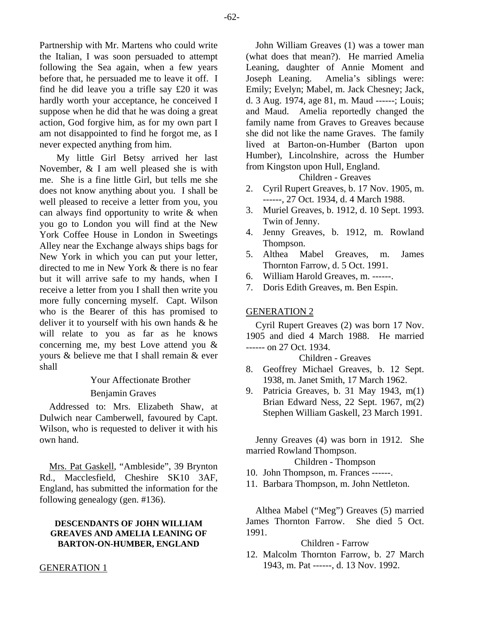Partnership with Mr. Martens who could write the Italian, I was soon persuaded to attempt following the Sea again, when a few years before that, he persuaded me to leave it off. I find he did leave you a trifle say £20 it was hardly worth your acceptance, he conceived I suppose when he did that he was doing a great action, God forgive him, as for my own part I am not disappointed to find he forgot me, as I never expected anything from him.

My little Girl Betsy arrived her last November, & I am well pleased she is with me. She is a fine little Girl, but tells me she does not know anything about you. I shall be well pleased to receive a letter from you, you can always find opportunity to write & when you go to London you will find at the New York Coffee House in London in Sweetings Alley near the Exchange always ships bags for New York in which you can put your letter, directed to me in New York & there is no fear but it will arrive safe to my hands, when I receive a letter from you I shall then write you more fully concerning myself. Capt. Wilson who is the Bearer of this has promised to deliver it to yourself with his own hands & he will relate to you as far as he knows concerning me, my best Love attend you & yours & believe me that I shall remain & ever shall

# Your Affectionate Brother

# Benjamin Graves

Addressed to: Mrs. Elizabeth Shaw, at Dulwich near Camberwell, favoured by Capt. Wilson, who is requested to deliver it with his own hand.

Mrs. Pat Gaskell, "Ambleside", 39 Brynton Rd., Macclesfield, Cheshire SK10 3AF, England, has submitted the information for the following genealogy (gen. #136).

#### **DESCENDANTS OF JOHN WILLIAM GREAVES AND AMELIA LEANING OF BARTON-ON-HUMBER, ENGLAND**

#### GENERATION 1

John William Greaves (1) was a tower man (what does that mean?). He married Amelia Leaning, daughter of Annie Moment and Joseph Leaning. Amelia's siblings were: Emily; Evelyn; Mabel, m. Jack Chesney; Jack, d. 3 Aug. 1974, age 81, m. Maud ------; Louis; and Maud. Amelia reportedly changed the family name from Graves to Greaves because she did not like the name Graves. The family lived at Barton-on-Humber (Barton upon Humber), Lincolnshire, across the Humber from Kingston upon Hull, England.

Children - Greaves

- 2. Cyril Rupert Greaves, b. 17 Nov. 1905, m. ------, 27 Oct. 1934, d. 4 March 1988.
- 3. Muriel Greaves, b. 1912, d. 10 Sept. 1993. Twin of Jenny.
- 4. Jenny Greaves, b. 1912, m. Rowland Thompson.
- 5. Althea Mabel Greaves, m. James Thornton Farrow, d. 5 Oct. 1991.
- 6. William Harold Greaves, m. ------.
- 7. Doris Edith Greaves, m. Ben Espin.

#### GENERATION 2

Cyril Rupert Greaves (2) was born 17 Nov. 1905 and died 4 March 1988. He married ------ on 27 Oct. 1934.

Children - Greaves

- 8. Geoffrey Michael Greaves, b. 12 Sept. 1938, m. Janet Smith, 17 March 1962.
- 9. Patricia Greaves, b. 31 May 1943, m(1) Brian Edward Ness, 22 Sept. 1967, m(2) Stephen William Gaskell, 23 March 1991.

Jenny Greaves (4) was born in 1912. She married Rowland Thompson.

Children - Thompson

- 10. John Thompson, m. Frances ------.
- 11. Barbara Thompson, m. John Nettleton.

Althea Mabel ("Meg") Greaves (5) married James Thornton Farrow. She died 5 Oct. 1991.

Children - Farrow

12. Malcolm Thornton Farrow, b. 27 March 1943, m. Pat ------, d. 13 Nov. 1992.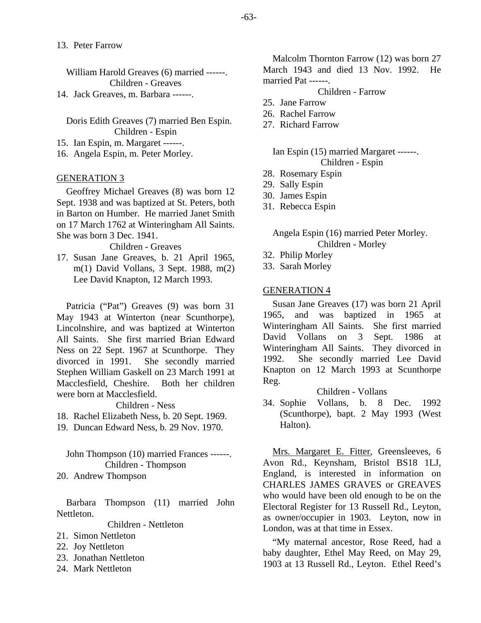William Harold Greaves (6) married ------. Children - Greaves

14. Jack Greaves, m. Barbara ------.

Doris Edith Greaves (7) married Ben Espin. Children - Espin

15. Ian Espin, m. Margaret ------.

16. Angela Espin, m. Peter Morley.

#### GENERATION 3

Geoffrey Michael Greaves (8) was born 12 Sept. 1938 and was baptized at St. Peters, both in Barton on Humber. He married Janet Smith on 17 March 1762 at Winteringham All Saints. She was born 3 Dec. 1941.

Children - Greaves

17. Susan Jane Greaves, b. 21 April 1965, m(1) David Vollans, 3 Sept. 1988, m(2) Lee David Knapton, 12 March 1993.

Patricia ("Pat") Greaves (9) was born 31 May 1943 at Winterton (near Scunthorpe), Lincolnshire, and was baptized at Winterton All Saints. She first married Brian Edward Ness on 22 Sept. 1967 at Scunthorpe. They divorced in 1991. She secondly married Stephen William Gaskell on 23 March 1991 at Macclesfield, Cheshire. were born at Macclesfield.

Children - Ness

- 18. Rachel Elizabeth Ness, b. 20 Sept. 1969.
- 19. Duncan Edward Ness, b. 29 Nov. 1970.

John Thompson (10) married Frances ------. Children - Thompson

20. Andrew Thompson

Barbara Thompson (11) married John Nettleton.

Children - Nettleton

- 21. Simon Nettleton
- 22. Joy Nettleton
- 23. Jonathan Nettleton
- 24. Mark Nettleton

Malcolm Thornton Farrow (12) was born 27 March 1943 and died 13 Nov. 1992. He married Pat ------.

Children - Farrow

- 25. Jane Farrow
- 26. Rachel Farrow
- 27. Richard Farrow

Ian Espin (15) married Margaret ------. Children - Espin

- 28. Rosemary Espin
- 29. Sally Espin
- 30. James Espin
- 31. Rebecca Espin

## Angela Espin (16) married Peter Morley. Children - Morley

- 32. Philip Morley
- 33. Sarah Morley

#### GENERATION 4

Susan Jane Greaves (17) was born 21 April 1965, and was baptized in 1965 at Winteringham All Saints. She first married David Vollans on 3 Sept. 1986 at Winteringham All Saints. They divorced in 1992. She secondly married Lee David Knapton on 12 March 1993 at Scunthorpe Reg.

#### Children - Vollans

34. Sophie Vollans, b. 8 Dec. 1992 (Scunthorpe), bapt. 2 May 1993 (West Halton).

Mrs. Margaret E. Fitter, Greensleeves, 6 Avon Rd., Keynsham, Bristol BS18 1LJ, England, is interested in information on CHARLES JAMES GRAVES or GREAVES who would have been old enough to be on the Electoral Register for 13 Russell Rd., Leyton, as owner/occupier in 1903. Leyton, now in London, was at that time in Essex.

"My maternal ancestor, Rose Reed, had a baby daughter, Ethel May Reed, on May 29, 1903 at 13 Russell Rd., Leyton. Ethel Reed's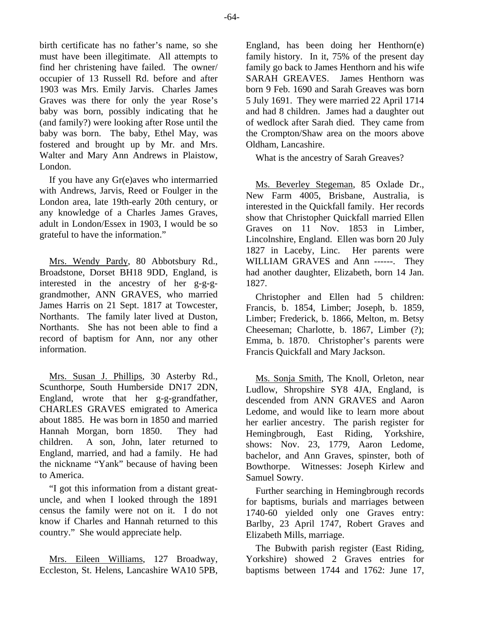birth certificate has no father's name, so she must have been illegitimate. All attempts to find her christening have failed. The owner/ occupier of 13 Russell Rd. before and after 1903 was Mrs. Emily Jarvis. Charles James Graves was there for only the year Rose's baby was born, possibly indicating that he (and family?) were looking after Rose until the baby was born. The baby, Ethel May, was fostered and brought up by Mr. and Mrs. Walter and Mary Ann Andrews in Plaistow, London.

If you have any Gr(e)aves who intermarried with Andrews, Jarvis, Reed or Foulger in the London area, late 19th-early 20th century, or any knowledge of a Charles James Graves, adult in London/Essex in 1903, I would be so grateful to have the information."

Mrs. Wendy Pardy, 80 Abbotsbury Rd., Broadstone, Dorset BH18 9DD, England, is interested in the ancestry of her g-g-ggrandmother, ANN GRAVES, who married James Harris on 21 Sept. 1817 at Towcester, Northants. The family later lived at Duston, Northants. She has not been able to find a record of baptism for Ann, nor any other information.

Mrs. Susan J. Phillips, 30 Asterby Rd., Scunthorpe, South Humberside DN17 2DN, England, wrote that her g-g-grandfather, CHARLES GRAVES emigrated to America about 1885. He was born in 1850 and married Hannah Morgan, born 1850. They had children. A son, John, later returned to England, married, and had a family. He had the nickname "Yank" because of having been to America.

"I got this information from a distant greatuncle, and when I looked through the 1891 census the family were not on it. I do not know if Charles and Hannah returned to this country." She would appreciate help.

Mrs. Eileen Williams, 127 Broadway, Eccleston, St. Helens, Lancashire WA10 5PB, England, has been doing her Henthorn(e) family history. In it, 75% of the present day family go back to James Henthorn and his wife SARAH GREAVES. James Henthorn was born 9 Feb. 1690 and Sarah Greaves was born 5 July 1691. They were married 22 April 1714 and had 8 children. James had a daughter out of wedlock after Sarah died. They came from the Crompton/Shaw area on the moors above Oldham, Lancashire.

What is the ancestry of Sarah Greaves?

Ms. Beverley Stegeman, 85 Oxlade Dr., New Farm 4005, Brisbane, Australia, is interested in the Quickfall family. Her records show that Christopher Quickfall married Ellen Graves on 11 Nov. 1853 in Limber, Lincolnshire, England. Ellen was born 20 July 1827 in Laceby, Linc. Her parents were WILLIAM GRAVES and Ann ------. They had another daughter, Elizabeth, born 14 Jan. 1827.

Christopher and Ellen had 5 children: Francis, b. 1854, Limber; Joseph, b. 1859, Limber; Frederick, b. 1866, Melton, m. Betsy Cheeseman; Charlotte, b. 1867, Limber (?); Emma, b. 1870. Christopher's parents were Francis Quickfall and Mary Jackson.

Ms. Sonja Smith, The Knoll, Orleton, near Ludlow, Shropshire SY8 4JA, England, is descended from ANN GRAVES and Aaron Ledome, and would like to learn more about her earlier ancestry. The parish register for Hemingbrough, East Riding, Yorkshire, shows: Nov. 23, 1779, Aaron Ledome, bachelor, and Ann Graves, spinster, both of Bowthorpe. Witnesses: Joseph Kirlew and Samuel Sowry.

Further searching in Hemingbrough records for baptisms, burials and marriages between 1740-60 yielded only one Graves entry: Barlby, 23 April 1747, Robert Graves and Elizabeth Mills, marriage.

The Bubwith parish register (East Riding, Yorkshire) showed 2 Graves entries for baptisms between 1744 and 1762: June 17,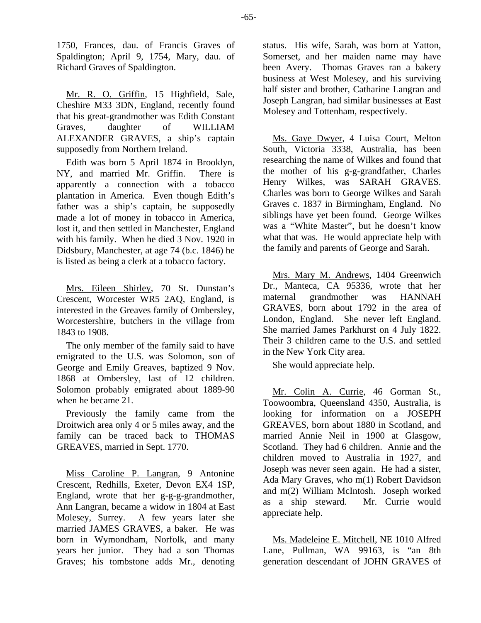1750, Frances, dau. of Francis Graves of Spaldington; April 9, 1754, Mary, dau. of Richard Graves of Spaldington.

Mr. R. O. Griffin, 15 Highfield, Sale, Cheshire M33 3DN, England, recently found that his great-grandmother was Edith Constant Graves, daughter of WILLIAM ALEXANDER GRAVES, a ship's captain supposedly from Northern Ireland.

Edith was born 5 April 1874 in Brooklyn, NY, and married Mr. Griffin. There is apparently a connection with a tobacco plantation in America. Even though Edith's father was a ship's captain, he supposedly made a lot of money in tobacco in America, lost it, and then settled in Manchester, England with his family. When he died 3 Nov. 1920 in Didsbury, Manchester, at age 74 (b.c. 1846) he is listed as being a clerk at a tobacco factory.

Mrs. Eileen Shirley, 70 St. Dunstan's Crescent, Worcester WR5 2AQ, England, is interested in the Greaves family of Ombersley, Worcestershire, butchers in the village from 1843 to 1908.

The only member of the family said to have emigrated to the U.S. was Solomon, son of George and Emily Greaves, baptized 9 Nov. 1868 at Ombersley, last of 12 children. Solomon probably emigrated about 1889-90 when he became 21.

Previously the family came from the Droitwich area only 4 or 5 miles away, and the family can be traced back to THOMAS GREAVES, married in Sept. 1770.

Miss Caroline P. Langran, 9 Antonine Crescent, Redhills, Exeter, Devon EX4 1SP, England, wrote that her g-g-g-grandmother, Ann Langran, became a widow in 1804 at East Molesey, Surrey. A few years later she married JAMES GRAVES, a baker. He was born in Wymondham, Norfolk, and many years her junior. They had a son Thomas Graves; his tombstone adds Mr., denoting status. His wife, Sarah, was born at Yatton, Somerset, and her maiden name may have been Avery. Thomas Graves ran a bakery business at West Molesey, and his surviving half sister and brother, Catharine Langran and Joseph Langran, had similar businesses at East Molesey and Tottenham, respectively.

Ms. Gaye Dwyer, 4 Luisa Court, Melton South, Victoria 3338, Australia, has been researching the name of Wilkes and found that the mother of his g-g-grandfather, Charles Henry Wilkes, was SARAH GRAVES. Charles was born to George Wilkes and Sarah Graves c. 1837 in Birmingham, England. No siblings have yet been found. George Wilkes was a "White Master", but he doesn't know what that was. He would appreciate help with the family and parents of George and Sarah.

Mrs. Mary M. Andrews, 1404 Greenwich Dr., Manteca, CA 95336, wrote that her maternal grandmother was HANNAH GRAVES, born about 1792 in the area of London, England. She never left England. She married James Parkhurst on 4 July 1822. Their 3 children came to the U.S. and settled in the New York City area.

She would appreciate help.

Mr. Colin A. Currie, 46 Gorman St., Toowoombra, Queensland 4350, Australia, is looking for information on a JOSEPH GREAVES, born about 1880 in Scotland, and married Annie Neil in 1900 at Glasgow, Scotland. They had 6 children. Annie and the children moved to Australia in 1927, and Joseph was never seen again. He had a sister, Ada Mary Graves, who m(1) Robert Davidson and m(2) William McIntosh. Joseph worked as a ship steward. Mr. Currie would appreciate help.

Ms. Madeleine E. Mitchell, NE 1010 Alfred Lane, Pullman, WA 99163, is "an 8th generation descendant of JOHN GRAVES of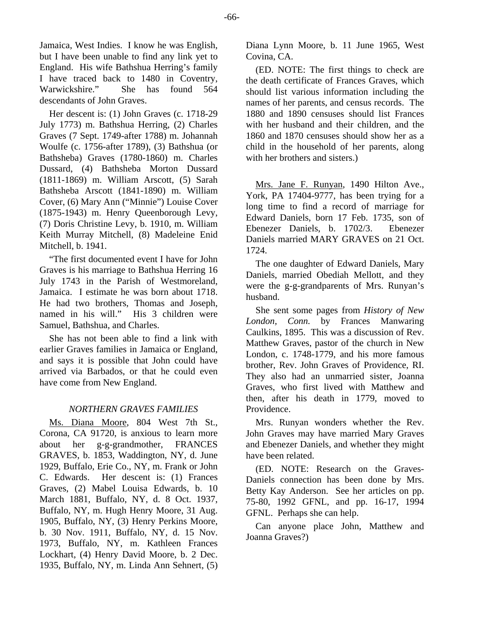Jamaica, West Indies. I know he was English, but I have been unable to find any link yet to England. His wife Bathshua Herring's family I have traced back to 1480 in Coventry, Warwickshire." She has found 564 descendants of John Graves.

Her descent is: (1) John Graves (c. 1718-29 July 1773) m. Bathshua Herring, (2) Charles Graves (7 Sept. 1749-after 1788) m. Johannah Woulfe (c. 1756-after 1789), (3) Bathshua (or Bathsheba) Graves (1780-1860) m. Charles Dussard, (4) Bathsheba Morton Dussard (1811-1869) m. William Arscott, (5) Sarah Bathsheba Arscott (1841-1890) m. William Cover, (6) Mary Ann ("Minnie") Louise Cover (1875-1943) m. Henry Queenborough Levy, (7) Doris Christine Levy, b. 1910, m. William Keith Murray Mitchell, (8) Madeleine Enid Mitchell, b. 1941.

"The first documented event I have for John Graves is his marriage to Bathshua Herring 16 July 1743 in the Parish of Westmoreland, Jamaica. I estimate he was born about 1718. He had two brothers, Thomas and Joseph, named in his will." His 3 children were Samuel, Bathshua, and Charles.

She has not been able to find a link with earlier Graves families in Jamaica or England, and says it is possible that John could have arrived via Barbados, or that he could even have come from New England.

#### *NORTHERN GRAVES FAMILIES*

Ms. Diana Moore, 804 West 7th St., Corona, CA 91720, is anxious to learn more about her g-g-grandmother, FRANCES GRAVES, b. 1853, Waddington, NY, d. June 1929, Buffalo, Erie Co., NY, m. Frank or John C. Edwards. Her descent is: (1) Frances Graves, (2) Mabel Louisa Edwards, b. 10 March 1881, Buffalo, NY, d. 8 Oct. 1937, Buffalo, NY, m. Hugh Henry Moore, 31 Aug. 1905, Buffalo, NY, (3) Henry Perkins Moore, b. 30 Nov. 1911, Buffalo, NY, d. 15 Nov. 1973, Buffalo, NY, m. Kathleen Frances Lockhart, (4) Henry David Moore, b. 2 Dec. 1935, Buffalo, NY, m. Linda Ann Sehnert, (5)

Diana Lynn Moore, b. 11 June 1965, West Covina, CA.

(ED. NOTE: The first things to check are the death certificate of Frances Graves, which should list various information including the names of her parents, and census records. The 1880 and 1890 censuses should list Frances with her husband and their children, and the 1860 and 1870 censuses should show her as a child in the household of her parents, along with her brothers and sisters.)

Mrs. Jane F. Runyan, 1490 Hilton Ave., York, PA 17404-9777, has been trying for a long time to find a record of marriage for Edward Daniels, born 17 Feb. 1735, son of Ebenezer Daniels, b. 1702/3. Ebenezer Daniels married MARY GRAVES on 21 Oct. 1724.

The one daughter of Edward Daniels, Mary Daniels, married Obediah Mellott, and they were the g-g-grandparents of Mrs. Runyan's husband.

She sent some pages from *History of New London, Conn.* by Frances Manwaring Caulkins, 1895. This was a discussion of Rev. Matthew Graves, pastor of the church in New London, c. 1748-1779, and his more famous brother, Rev. John Graves of Providence, RI. They also had an unmarried sister, Joanna Graves, who first lived with Matthew and then, after his death in 1779, moved to Providence.

Mrs. Runyan wonders whether the Rev. John Graves may have married Mary Graves and Ebenezer Daniels, and whether they might have been related.

(ED. NOTE: Research on the Graves-Daniels connection has been done by Mrs. Betty Kay Anderson. See her articles on pp. 75-80, 1992 GFNL, and pp. 16-17, 1994 GFNL. Perhaps she can help.

Can anyone place John, Matthew and Joanna Graves?)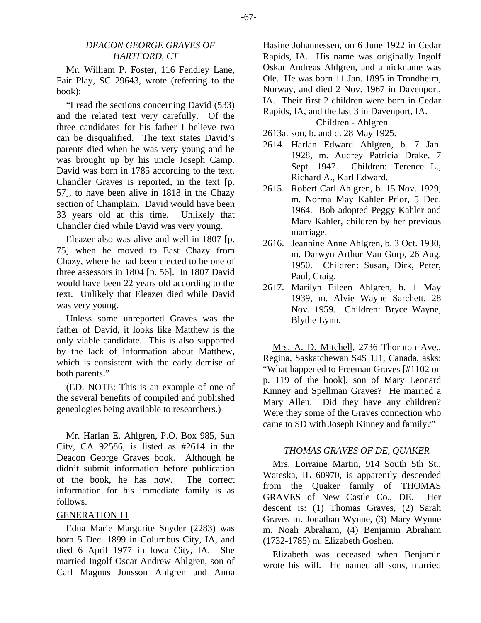Mr. William P. Foster, 116 Fendley Lane, Fair Play, SC 29643, wrote (referring to the book):

"I read the sections concerning David (533) and the related text very carefully. Of the three candidates for his father I believe two can be disqualified. The text states David's parents died when he was very young and he was brought up by his uncle Joseph Camp. David was born in 1785 according to the text. Chandler Graves is reported, in the text [p. 57], to have been alive in 1818 in the Chazy section of Champlain. David would have been 33 years old at this time. Unlikely that Chandler died while David was very young.

Eleazer also was alive and well in 1807 [p. 75] when he moved to East Chazy from Chazy, where he had been elected to be one of three assessors in 1804 [p. 56]. In 1807 David would have been 22 years old according to the text. Unlikely that Eleazer died while David was very young.

Unless some unreported Graves was the father of David, it looks like Matthew is the only viable candidate. This is also supported by the lack of information about Matthew, which is consistent with the early demise of both parents."

(ED. NOTE: This is an example of one of the several benefits of compiled and published genealogies being available to researchers.)

Mr. Harlan E. Ahlgren, P.O. Box 985, Sun City, CA 92586, is listed as #2614 in the Deacon George Graves book. Although he didn't submit information before publication of the book, he has now. The correct information for his immediate family is as follows.

# GENERATION 11

Edna Marie Margurite Snyder (2283) was born 5 Dec. 1899 in Columbus City, IA, and died 6 April 1977 in Iowa City, IA. She married Ingolf Oscar Andrew Ahlgren, son of Carl Magnus Jonsson Ahlgren and Anna Hasine Johannessen, on 6 June 1922 in Cedar Rapids, IA. His name was originally Ingolf Oskar Andreas Ahlgren, and a nickname was Ole. He was born 11 Jan. 1895 in Trondheim, Norway, and died 2 Nov. 1967 in Davenport, IA. Their first 2 children were born in Cedar Rapids, IA, and the last 3 in Davenport, IA.

Children - Ahlgren

2613a. son, b. and d. 28 May 1925.

- 2614. Harlan Edward Ahlgren, b. 7 Jan. 1928, m. Audrey Patricia Drake, 7 Sept. 1947. Children: Terence L., Richard A., Karl Edward.
- 2615. Robert Carl Ahlgren, b. 15 Nov. 1929, m. Norma May Kahler Prior, 5 Dec. 1964. Bob adopted Peggy Kahler and Mary Kahler, children by her previous marriage.
- 2616. Jeannine Anne Ahlgren, b. 3 Oct. 1930, m. Darwyn Arthur Van Gorp, 26 Aug. 1950. Children: Susan, Dirk, Peter, Paul, Craig.
- 2617. Marilyn Eileen Ahlgren, b. 1 May 1939, m. Alvie Wayne Sarchett, 28 Nov. 1959. Children: Bryce Wayne, Blythe Lynn.

Mrs. A. D. Mitchell, 2736 Thornton Ave., Regina, Saskatchewan S4S 1J1, Canada, asks: "What happened to Freeman Graves [#1102 on p. 119 of the book], son of Mary Leonard Kinney and Spellman Graves? He married a Mary Allen. Did they have any children? Were they some of the Graves connection who came to SD with Joseph Kinney and family?"

# *THOMAS GRAVES OF DE, QUAKER*

Mrs. Lorraine Martin, 914 South 5th St., Wateska, IL 60970, is apparently descended from the Quaker family of THOMAS GRAVES of New Castle Co., DE. Her descent is: (1) Thomas Graves, (2) Sarah Graves m. Jonathan Wynne, (3) Mary Wynne m. Noah Abraham, (4) Benjamin Abraham (1732-1785) m. Elizabeth Goshen.

Elizabeth was deceased when Benjamin wrote his will. He named all sons, married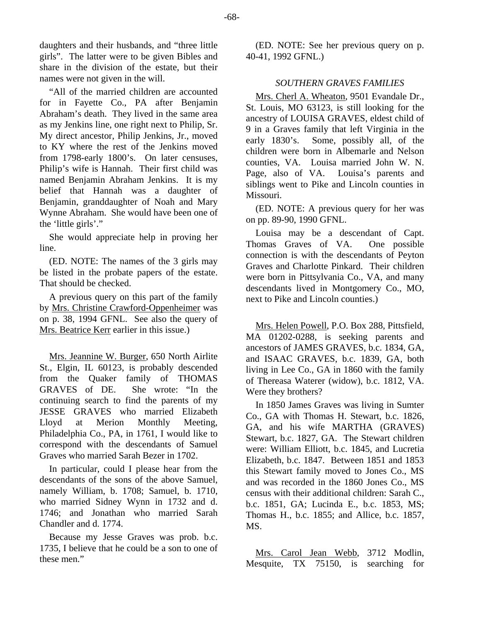daughters and their husbands, and "three little girls". The latter were to be given Bibles and share in the division of the estate, but their names were not given in the will.

"All of the married children are accounted for in Fayette Co., PA after Benjamin Abraham's death. They lived in the same area as my Jenkins line, one right next to Philip, Sr. My direct ancestor, Philip Jenkins, Jr., moved to KY where the rest of the Jenkins moved from 1798-early 1800's. On later censuses, Philip's wife is Hannah. Their first child was named Benjamin Abraham Jenkins. It is my belief that Hannah was a daughter of Benjamin, granddaughter of Noah and Mary Wynne Abraham. She would have been one of the 'little girls'."

She would appreciate help in proving her line.

(ED. NOTE: The names of the 3 girls may be listed in the probate papers of the estate. That should be checked.

A previous query on this part of the family by Mrs. Christine Crawford-Oppenheimer was on p. 38, 1994 GFNL. See also the query of Mrs. Beatrice Kerr earlier in this issue.)

Mrs. Jeannine W. Burger, 650 North Airlite St., Elgin, IL 60123, is probably descended from the Quaker family of THOMAS GRAVES of DE. She wrote: "In the continuing search to find the parents of my JESSE GRAVES who married Elizabeth Lloyd at Merion Monthly Meeting, Philadelphia Co., PA, in 1761, I would like to correspond with the descendants of Samuel Graves who married Sarah Bezer in 1702.

In particular, could I please hear from the descendants of the sons of the above Samuel, namely William, b. 1708; Samuel, b. 1710, who married Sidney Wynn in 1732 and d. 1746; and Jonathan who married Sarah Chandler and d. 1774.

Because my Jesse Graves was prob. b.c. 1735, I believe that he could be a son to one of these men."

(ED. NOTE: See her previous query on p. 40-41, 1992 GFNL.)

#### *SOUTHERN GRAVES FAMILIES*

Mrs. Cherl A. Wheaton, 9501 Evandale Dr., St. Louis, MO 63123, is still looking for the ancestry of LOUISA GRAVES, eldest child of 9 in a Graves family that left Virginia in the early 1830's. Some, possibly all, of the children were born in Albemarle and Nelson counties, VA. Louisa married John W. N. Page, also of VA. Louisa's parents and siblings went to Pike and Lincoln counties in Missouri.

(ED. NOTE: A previous query for her was on pp. 89-90, 1990 GFNL.

Louisa may be a descendant of Capt. Thomas Graves of VA. One possible connection is with the descendants of Peyton Graves and Charlotte Pinkard. Their children were born in Pittsylvania Co., VA, and many descendants lived in Montgomery Co., MO, next to Pike and Lincoln counties.)

Mrs. Helen Powell, P.O. Box 288, Pittsfield, MA 01202-0288, is seeking parents and ancestors of JAMES GRAVES, b.c. 1834, GA, and ISAAC GRAVES, b.c. 1839, GA, both living in Lee Co., GA in 1860 with the family of Thereasa Waterer (widow), b.c. 1812, VA. Were they brothers?

In 1850 James Graves was living in Sumter Co., GA with Thomas H. Stewart, b.c. 1826, GA, and his wife MARTHA (GRAVES) Stewart, b.c. 1827, GA. The Stewart children were: William Elliott, b.c. 1845, and Lucretia Elizabeth, b.c. 1847. Between 1851 and 1853 this Stewart family moved to Jones Co., MS and was recorded in the 1860 Jones Co., MS census with their additional children: Sarah C., b.c. 1851, GA; Lucinda E., b.c. 1853, MS; Thomas H., b.c. 1855; and Allice, b.c. 1857, MS.

Mrs. Carol Jean Webb, 3712 Modlin, Mesquite, TX 75150, is searching for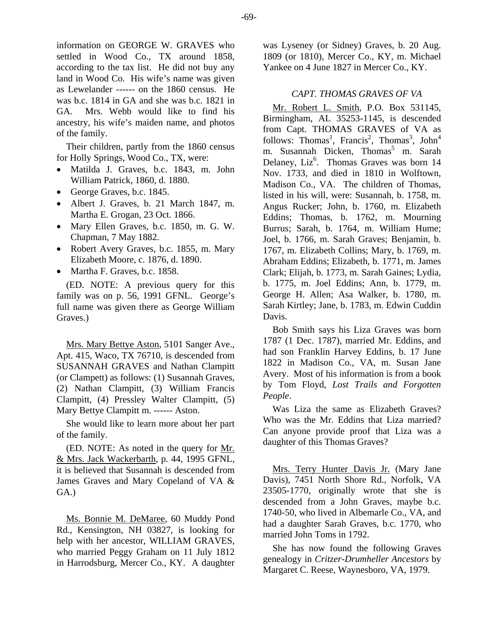information on GEORGE W. GRAVES who settled in Wood Co., TX around 1858, according to the tax list. He did not buy any land in Wood Co. His wife's name was given as Lewelander ------ on the 1860 census. He was b.c. 1814 in GA and she was b.c. 1821 in GA. Mrs. Webb would like to find his ancestry, his wife's maiden name, and photos of the family.

Their children, partly from the 1860 census for Holly Springs, Wood Co., TX, were:

- Matilda J. Graves, b.c. 1843, m. John William Patrick, 1860, d. 1880.
- George Graves, b.c. 1845.
- Albert J. Graves, b. 21 March 1847, m. Martha E. Grogan, 23 Oct. 1866.
- Mary Ellen Graves, b.c. 1850, m. G. W. Chapman, 7 May 1882.
- Robert Avery Graves, b.c. 1855, m. Mary Elizabeth Moore, c. 1876, d. 1890.
- Martha F. Graves, b.c. 1858.

(ED. NOTE: A previous query for this family was on p. 56, 1991 GFNL. George's full name was given there as George William Graves.)

Mrs. Mary Bettye Aston, 5101 Sanger Ave., Apt. 415, Waco, TX 76710, is descended from SUSANNAH GRAVES and Nathan Clampitt (or Clampett) as follows: (1) Susannah Graves, (2) Nathan Clampitt, (3) William Francis Clampitt, (4) Pressley Walter Clampitt, (5) Mary Bettye Clampitt m. ------ Aston.

She would like to learn more about her part of the family.

(ED. NOTE: As noted in the query for Mr. & Mrs. Jack Wackerbarth, p. 44, 1995 GFNL, it is believed that Susannah is descended from James Graves and Mary Copeland of VA & GA.)

Ms. Bonnie M. DeMaree, 60 Muddy Pond Rd., Kensington, NH 03827, is looking for help with her ancestor, WILLIAM GRAVES, who married Peggy Graham on 11 July 1812 in Harrodsburg, Mercer Co., KY. A daughter was Lyseney (or Sidney) Graves, b. 20 Aug. 1809 (or 1810), Mercer Co., KY, m. Michael Yankee on 4 June 1827 in Mercer Co., KY.

# *CAPT. THOMAS GRAVES OF VA*

Mr. Robert L. Smith, P.O. Box 531145, Birmingham, AL 35253-1145, is descended from Capt. THOMAS GRAVES of VA as follows: Thomas<sup>1</sup>, Francis<sup>2</sup>, Thomas<sup>3</sup>, John<sup>4</sup> m. Susannah Dicken, Thomas<sup>5</sup> m. Sarah Delaney, Liz<sup>6</sup>. Thomas Graves was born 14 Nov. 1733, and died in 1810 in Wolftown, Madison Co., VA. The children of Thomas, listed in his will, were: Susannah, b. 1758, m. Angus Rucker; John, b. 1760, m. Elizabeth Eddins; Thomas, b. 1762, m. Mourning Burrus; Sarah, b. 1764, m. William Hume; Joel, b. 1766, m. Sarah Graves; Benjamin, b. 1767, m. Elizabeth Collins; Mary, b. 1769, m. Abraham Eddins; Elizabeth, b. 1771, m. James Clark; Elijah, b. 1773, m. Sarah Gaines; Lydia, b. 1775, m. Joel Eddins; Ann, b. 1779, m. George H. Allen; Asa Walker, b. 1780, m. Sarah Kirtley; Jane, b. 1783, m. Edwin Cuddin Davis.

Bob Smith says his Liza Graves was born 1787 (1 Dec. 1787), married Mr. Eddins, and had son Franklin Harvey Eddins, b. 17 June 1822 in Madison Co., VA, m. Susan Jane Avery. Most of his information is from a book by Tom Floyd, *Lost Trails and Forgotten People*.

Was Liza the same as Elizabeth Graves? Who was the Mr. Eddins that Liza married? Can anyone provide proof that Liza was a daughter of this Thomas Graves?

Mrs. Terry Hunter Davis Jr. (Mary Jane Davis), 7451 North Shore Rd., Norfolk, VA 23505-1770, originally wrote that she is descended from a John Graves, maybe b.c. 1740-50, who lived in Albemarle Co., VA, and had a daughter Sarah Graves, b.c. 1770, who married John Toms in 1792.

She has now found the following Graves genealogy in *Critzer-Drumheller Ancestors* by Margaret C. Reese, Waynesboro, VA, 1979.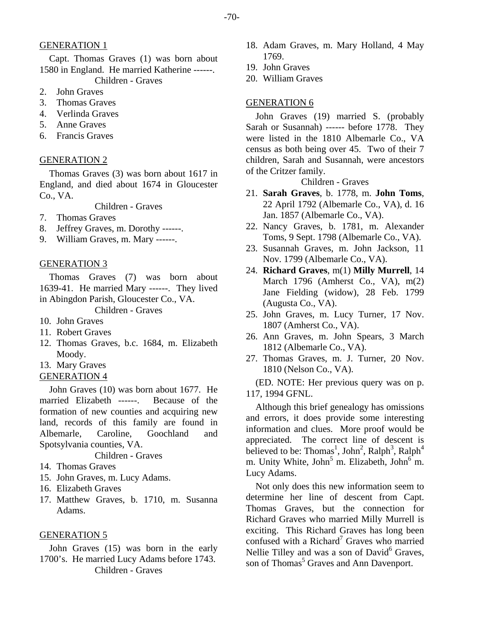# GENERATION 1

Capt. Thomas Graves (1) was born about 1580 in England. He married Katherine ------. Children - Graves

- 2. John Graves
- 3. Thomas Graves
- 4. Verlinda Graves
- 5. Anne Graves
- 6. Francis Graves

#### GENERATION 2

Thomas Graves (3) was born about 1617 in England, and died about 1674 in Gloucester Co., VA.

Children - Graves

- 7. Thomas Graves
- 8. Jeffrey Graves, m. Dorothy ------.
- 9. William Graves, m. Mary ------.

### GENERATION 3

Thomas Graves (7) was born about 1639-41. He married Mary ------. They lived in Abingdon Parish, Gloucester Co., VA.

Children - Graves

- 10. John Graves
- 11. Robert Graves
- 12. Thomas Graves, b.c. 1684, m. Elizabeth Moody.
- 13. Mary Graves
- GENERATION 4

John Graves (10) was born about 1677. He married Elizabeth ------. Because of the formation of new counties and acquiring new land, records of this family are found in Albemarle, Caroline, Goochland and Spotsylvania counties, VA.

Children - Graves

- 14. Thomas Graves
- 15. John Graves, m. Lucy Adams.
- 16. Elizabeth Graves
- 17. Matthew Graves, b. 1710, m. Susanna Adams.

#### GENERATION 5

John Graves (15) was born in the early 1700's. He married Lucy Adams before 1743. Children - Graves

- 18. Adam Graves, m. Mary Holland, 4 May 1769.
- 19. John Graves
- 20. William Graves

#### GENERATION 6

John Graves (19) married S. (probably Sarah or Susannah) ------ before 1778. They were listed in the 1810 Albemarle Co., VA census as both being over 45. Two of their 7 children, Sarah and Susannah, were ancestors of the Critzer family.

# Children - Graves

- 21. **Sarah Graves**, b. 1778, m. **John Toms**, 22 April 1792 (Albemarle Co., VA), d. 16 Jan. 1857 (Albemarle Co., VA).
- 22. Nancy Graves, b. 1781, m. Alexander Toms, 9 Sept. 1798 (Albemarle Co., VA).
- 23. Susannah Graves, m. John Jackson, 11 Nov. 1799 (Albemarle Co., VA).
- 24. **Richard Graves**, m(1) **Milly Murrell**, 14 March 1796 (Amherst Co., VA), m(2) Jane Fielding (widow), 28 Feb. 1799 (Augusta Co., VA).
- 25. John Graves, m. Lucy Turner, 17 Nov. 1807 (Amherst Co., VA).
- 26. Ann Graves, m. John Spears, 3 March 1812 (Albemarle Co., VA).
- 27. Thomas Graves, m. J. Turner, 20 Nov. 1810 (Nelson Co., VA).

(ED. NOTE: Her previous query was on p. 117, 1994 GFNL.

Although this brief genealogy has omissions and errors, it does provide some interesting information and clues. More proof would be appreciated. The correct line of descent is believed to be: Thomas<sup>1</sup>, John<sup>2</sup>, Ralph<sup>3</sup>, Ralph<sup>4</sup> m. Unity White, John<sup>5</sup> m. Elizabeth, John<sup>6</sup> m. Lucy Adams.

Not only does this new information seem to determine her line of descent from Capt. Thomas Graves, but the connection for Richard Graves who married Milly Murrell is exciting. This Richard Graves has long been confused with a Richard<sup>7</sup> Graves who married Nellie Tilley and was a son of David<sup>6</sup> Graves, son of Thomas<sup>5</sup> Graves and Ann Davenport.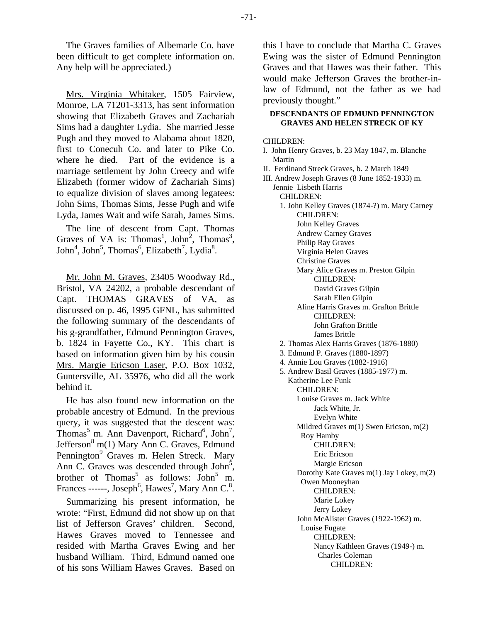The Graves families of Albemarle Co. have been difficult to get complete information on. Any help will be appreciated.)

Mrs. Virginia Whitaker, 1505 Fairview, Monroe, LA 71201-3313, has sent information showing that Elizabeth Graves and Zachariah Sims had a daughter Lydia. She married Jesse Pugh and they moved to Alabama about 1820, first to Conecuh Co. and later to Pike Co. where he died. Part of the evidence is a marriage settlement by John Creecy and wife Elizabeth (former widow of Zachariah Sims) to equalize division of slaves among legatees: John Sims, Thomas Sims, Jesse Pugh and wife Lyda, James Wait and wife Sarah, James Sims.

The line of descent from Capt. Thomas Graves of VA is: Thomas<sup>1</sup>, John<sup>2</sup>, Thomas<sup>3</sup>,  $John<sup>4</sup>, John<sup>5</sup>, Thomas<sup>6</sup>, Elizabeth<sup>7</sup>, Lydia<sup>8</sup>.$ 

Mr. John M. Graves, 23405 Woodway Rd., Bristol, VA 24202, a probable descendant of Capt. THOMAS GRAVES of VA, as discussed on p. 46, 1995 GFNL, has submitted the following summary of the descendants of his g-grandfather, Edmund Pennington Graves, b. 1824 in Fayette Co., KY. This chart is based on information given him by his cousin Mrs. Margie Ericson Laser, P.O. Box 1032, Guntersville, AL 35976, who did all the work behind it.

He has also found new information on the probable ancestry of Edmund. In the previous query, it was suggested that the descent was: Thomas<sup>5</sup> m. Ann Davenport, Richard<sup>6</sup>, John<sup>7</sup>, Jefferson<sup>8</sup> m(1) Mary Ann C. Graves, Edmund Pennington<sup>9</sup> Graves m. Helen Streck. Mary Ann C. Graves was descended through John $\bar{5}$ , brother of Thomas<sup>5</sup> as follows:  $\text{John}^5$  m. Frances ------, Joseph<sup>6</sup>, Hawes<sup>7</sup>, Mary Ann C.<sup>8</sup>.

Summarizing his present information, he wrote: "First, Edmund did not show up on that list of Jefferson Graves' children. Second, Hawes Graves moved to Tennessee and resided with Martha Graves Ewing and her husband William. Third, Edmund named one of his sons William Hawes Graves. Based on this I have to conclude that Martha C. Graves Ewing was the sister of Edmund Pennington Graves and that Hawes was their father. This would make Jefferson Graves the brother-inlaw of Edmund, not the father as we had previously thought."

#### **DESCENDANTS OF EDMUND PENNINGTON GRAVES AND HELEN STRECK OF KY**

CHILDREN:

- I. John Henry Graves, b. 23 May 1847, m. Blanche Martin
- II. Ferdinand Streck Graves, b. 2 March 1849
- III. Andrew Joseph Graves (8 June 1852-1933) m. Jennie Lisbeth Harris CHILDREN:
	- 1. John Kelley Graves (1874-?) m. Mary Carney CHILDREN: John Kelley Graves Andrew Carney Graves
		- Philip Ray Graves

Virginia Helen Graves

- Christine Graves
- Mary Alice Graves m. Preston Gilpin CHILDREN:
	- David Graves Gilpin

Sarah Ellen Gilpin

- Aline Harris Graves m. Grafton Brittle CHILDREN: John Grafton Brittle
- James Brittle 2. Thomas Alex Harris Graves (1876-1880)
- 3. Edmund P. Graves (1880-1897)
- 
- 4. Annie Lou Graves (1882-1916) 5. Andrew Basil Graves (1885-1977) m.
	- Katherine Lee Funk CHILDREN: Louise Graves m. Jack White Jack White, Jr. Evelyn White Mildred Graves m(1) Swen Ericson, m(2) Roy Hamby CHILDREN: Eric Ericson Margie Ericson Dorothy Kate Graves m(1) Jay Lokey, m(2) Owen Mooneyhan CHILDREN: Marie Lokey Jerry Lokey John McAlister Graves (1922-1962) m. Louise Fugate CHILDREN: Nancy Kathleen Graves (1949-) m. Charles Coleman

CHILDREN:

-71-